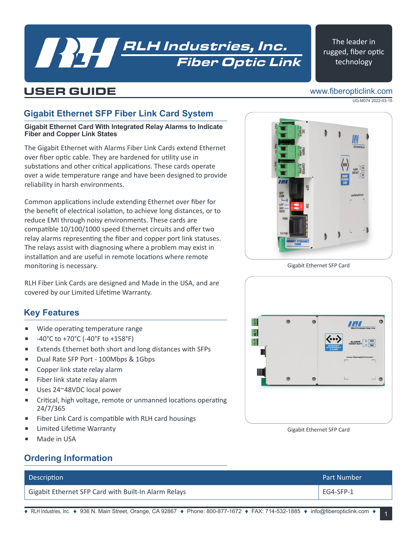## Fiber Optic Link **RLH Industries, Inc.**<br>Fiber Optic Lir

#### The leader in rugged, fiber optic technology

## USER GUIDE

#### www.fiberopticlink.com

UG-M074 2022-03-15

## **Gigabit Ethernet SFP Fiber Link Card System**

**Gigabit Ethernet Card With Integrated Relay Alarms to Indicate Fiber and Copper Link States**

The Gigabit Ethernet with Alarms Fiber Link Cards extend Ethernet over fiber optic cable. They are hardened for utility use in substations and other critical applications. These cards operate over a wide temperature range and have been designed to provide reliability in harsh environments.

Common applications include extending Ethernet over fiber for the benefit of electrical isolation, to achieve long distances, or to reduce EMI through noisy environments. These cards are compatible 10/100/1000 speed Ethernet circuits and offer two relay alarms representing the fiber and copper port link statuses. The relays assist with diagnosing where a problem may exist in installation and are useful in remote locations where remote monitoring is necessary.

RLH Fiber Link Cards are designed and Made in the USA, and are covered by our Limited Lifetime Warranty.

### **Key Features**

- Wide operating temperature range
- $-40^{\circ}$ C to +70 $^{\circ}$ C (-40 $^{\circ}$ F to +158 $^{\circ}$ F)
- Extends Ethernet both short and long distances with SFPs
- Dual Rate SFP Port 100Mbps & 1Gbps
- Copper link state relay alarm
- Fiber link state relay alarm
- Uses 24~48VDC local power
- Critical, high voltage, remote or unmanned locations operating 24/7/365
- Fiber Link Card is compatible with RLH card housings
- Limited Lifetime Warranty
- Made in USA

### **Ordering Information**

| <b>Description</b>                                   | <b>Part Number</b> |
|------------------------------------------------------|--------------------|
| Gigabit Ethernet SFP Card with Built-In Alarm Relays | EG4-SFP-1          |



Gigabit Ethernet SFP Card



Gigabit Ethernet SFP Card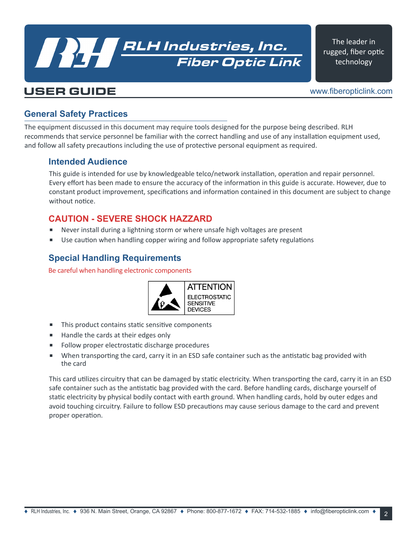## Fiber Optic Link RLH Industries, Inc.

The leader in rugged, fiber optic technology

### USER GUIDE

www.fiberopticlink.com

#### **General Safety Practices**

The equipment discussed in this document may require tools designed for the purpose being described. RLH recommends that service personnel be familiar with the correct handling and use of any installation equipment used, and follow all safety precautions including the use of protective personal equipment as required.

#### **Intended Audience**

This guide is intended for use by knowledgeable telco/network installation, operation and repair personnel. Every effort has been made to ensure the accuracy of the information in this guide is accurate. However, due to constant product improvement, specifications and information contained in this document are subject to change without notice.

#### **CAUTION - SEVERE SHOCK HAZZARD**

- Never install during a lightning storm or where unsafe high voltages are present
- Use caution when handling copper wiring and follow appropriate safety regulations

#### **Special Handling Requirements**

Be careful when handling electronic components



- This product contains static sensitive components
- Handle the cards at their edges only
- Follow proper electrostatic discharge procedures
- When transporting the card, carry it in an ESD safe container such as the antistatic bag provided with the card

This card utilizes circuitry that can be damaged by static electricity. When transporting the card, carry it in an ESD safe container such as the antistatic bag provided with the card. Before handling cards, discharge yourself of static electricity by physical bodily contact with earth ground. When handling cards, hold by outer edges and avoid touching circuitry. Failure to follow ESD precautions may cause serious damage to the card and prevent proper operation.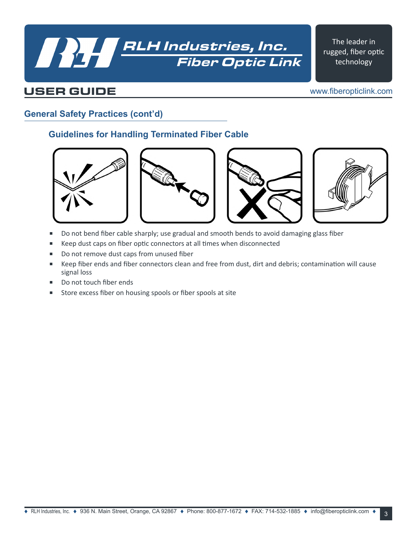# Fiber Optic Link **RLH Industries, Inc.**<br>Fiber Optic Lin

The leader in rugged, fiber optic technology

## USER GUIDE

www.fiberopticlink.com

#### **General Safety Practices (cont'd)**

#### **Guidelines for Handling Terminated Fiber Cable**









- Do not bend fiber cable sharply; use gradual and smooth bends to avoid damaging glass fiber
- Keep dust caps on fiber optic connectors at all times when disconnected
- Do not remove dust caps from unused fiber
- Keep fiber ends and fiber connectors clean and free from dust, dirt and debris; contamination will cause signal loss
- Do not touch fiber ends
- Store excess fiber on housing spools or fiber spools at site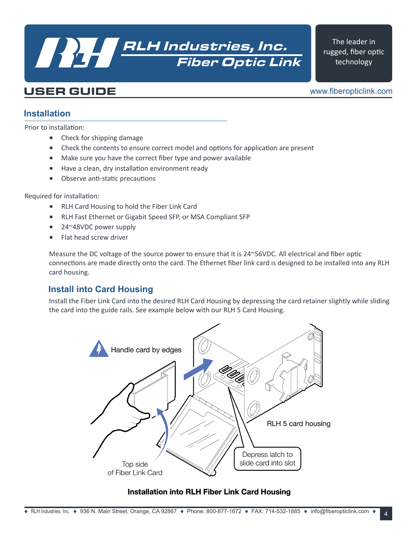## Fiber Optic Link **RLH Industries, Inc.**<br>Fiber Optic Lir

The leader in rugged, fiber optic technology

## USER GUIDE

www.fiberopticlink.com

#### **Installation**

Prior to installation:

- Check for shipping damage
- Check the contents to ensure correct model and options for application are present
- Make sure you have the correct fiber type and power available
- Have a clean, dry installation environment ready
- Observe anti-static precautions

Required for installation:

- RLH Card Housing to hold the Fiber Link Card
- RLH Fast Ethernet or Gigabit Speed SFP, or MSA Compliant SFP
- 24~48VDC power supply
- Flat head screw driver

Measure the DC voltage of the source power to ensure that it is 24~56VDC. All electrical and fiber optic connections are made directly onto the card. The Ethernet fiber link card is designed to be installed into any RLH card housing.

#### **Install into Card Housing**

Install the Fiber Link Card into the desired RLH Card Housing by depressing the card retainer slightly while sliding the card into the guide rails. See example below with our RLH 5 Card Housing.



#### **Installation into RLH Fiber Link Card Housing**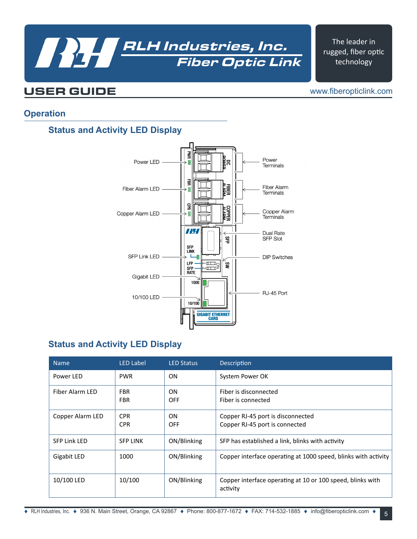

The leader in rugged, fiber optic technology

### USER GUIDE

www.fiberopticlink.com

#### **Operation**

#### **Status and Activity LED Display**



#### **Status and Activity LED Display**

| <b>Name</b>         | <b>LED Label</b>         | <b>LED Status</b>       | Description                                                            |
|---------------------|--------------------------|-------------------------|------------------------------------------------------------------------|
| Power LED           | <b>PWR</b>               | ON                      | System Power OK                                                        |
| Fiber Alarm LED     | <b>FBR</b><br><b>FBR</b> | <b>ON</b><br><b>OFF</b> | Fiber is disconnected<br>Fiber is connected                            |
| Copper Alarm LED    | <b>CPR</b><br><b>CPR</b> | <b>ON</b><br><b>OFF</b> | Copper RJ-45 port is disconnected<br>Copper RJ-45 port is connected    |
| <b>SFP Link LED</b> | <b>SFP LINK</b>          | ON/Blinking             | SFP has established a link, blinks with activity                       |
| Gigabit LED         | 1000                     | ON/Blinking             | Copper interface operating at 1000 speed, blinks with activity         |
| 10/100 LED          | 10/100                   | ON/Blinking             | Copper interface operating at 10 or 100 speed, blinks with<br>activity |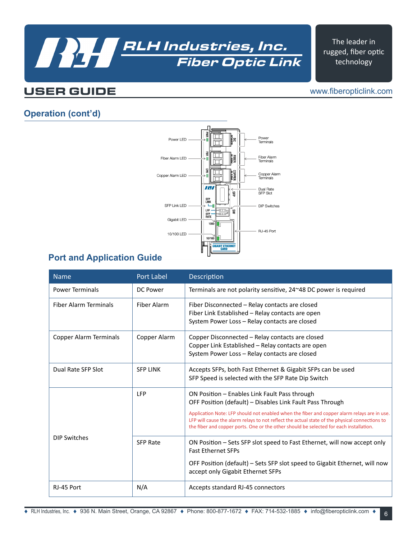## Fiber Optic Link **RALH Industries, Inc.**<br>Fiber Optic Lir

The leader in rugged, fiber optic technology

## USER GUIDE

#### www.fiberopticlink.com

#### **Operation (cont'd)**



#### **Port and Application Guide**

| <b>Name</b>                  | <b>Port Label</b> | <b>Description</b>                                                                                                                                                                                                                                                                                                                                                                                    |  |  |
|------------------------------|-------------------|-------------------------------------------------------------------------------------------------------------------------------------------------------------------------------------------------------------------------------------------------------------------------------------------------------------------------------------------------------------------------------------------------------|--|--|
| <b>Power Terminals</b>       | DC Power          | Terminals are not polarity sensitive, 24~48 DC power is required                                                                                                                                                                                                                                                                                                                                      |  |  |
| <b>Fiber Alarm Terminals</b> | Fiber Alarm       | Fiber Disconnected – Relay contacts are closed<br>Fiber Link Established - Relay contacts are open<br>System Power Loss - Relay contacts are closed                                                                                                                                                                                                                                                   |  |  |
| Copper Alarm Terminals       | Copper Alarm      | Copper Disconnected – Relay contacts are closed<br>Copper Link Established - Relay contacts are open<br>System Power Loss - Relay contacts are closed                                                                                                                                                                                                                                                 |  |  |
| Dual Rate SFP Slot           | <b>SFP LINK</b>   | Accepts SFPs, both Fast Ethernet & Gigabit SFPs can be used<br>SFP Speed is selected with the SFP Rate Dip Switch                                                                                                                                                                                                                                                                                     |  |  |
|                              | LFP               | ON Position - Enables Link Fault Pass through<br>OFF Position (default) - Disables Link Fault Pass Through<br>Application Note: LFP should not enabled when the fiber and copper alarm relays are in use.<br>LFP will cause the alarm relays to not reflect the actual state of the physical connections to<br>the fiber and copper ports. One or the other should be selected for each installation. |  |  |
| <b>DIP Switches</b>          | <b>SFP Rate</b>   | ON Position - Sets SFP slot speed to Fast Ethernet, will now accept only<br><b>Fast Ethernet SFPs</b><br>OFF Position (default) – Sets SFP slot speed to Gigabit Ethernet, will now<br>accept only Gigabit Ethernet SFPs                                                                                                                                                                              |  |  |
| RJ-45 Port                   | N/A               | Accepts standard RJ-45 connectors                                                                                                                                                                                                                                                                                                                                                                     |  |  |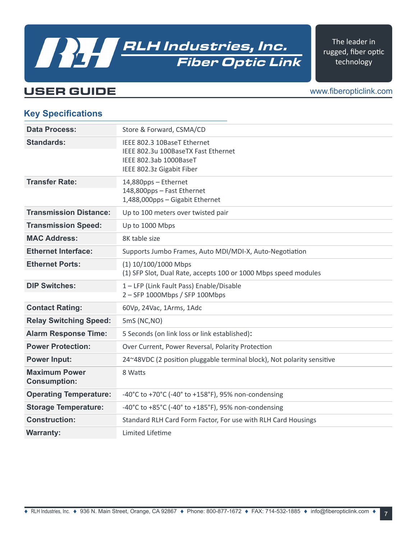## USER GUIDE

www.fiberopticlink.com

The leader in rugged, fiber optic technology

#### **Key Specifications**

| <b>Data Process:</b>                        | Store & Forward, CSMA/CD                                                                                                  |
|---------------------------------------------|---------------------------------------------------------------------------------------------------------------------------|
| <b>Standards:</b>                           | IEEE 802.3 10BaseT Ethernet<br>IEEE 802.3u 100BaseTX Fast Ethernet<br>IEEE 802.3ab 1000BaseT<br>IEEE 802.3z Gigabit Fiber |
| <b>Transfer Rate:</b>                       | 14,880pps - Ethernet<br>148,800pps - Fast Ethernet<br>1,488,000pps - Gigabit Ethernet                                     |
| <b>Transmission Distance:</b>               | Up to 100 meters over twisted pair                                                                                        |
| <b>Transmission Speed:</b>                  | Up to 1000 Mbps                                                                                                           |
| <b>MAC Address:</b>                         | 8K table size                                                                                                             |
| <b>Ethernet Interface:</b>                  | Supports Jumbo Frames, Auto MDI/MDI-X, Auto-Negotiation                                                                   |
| <b>Ethernet Ports:</b>                      | $(1) 10/100/1000$ Mbps<br>(1) SFP Slot, Dual Rate, accepts 100 or 1000 Mbps speed modules                                 |
| <b>DIP Switches:</b>                        | 1 - LFP (Link Fault Pass) Enable/Disable<br>2 - SFP 1000Mbps / SFP 100Mbps                                                |
| <b>Contact Rating:</b>                      | 60Vp, 24Vac, 1Arms, 1Adc                                                                                                  |
| <b>Relay Switching Speed:</b>               | 5mS (NC,NO)                                                                                                               |
| <b>Alarm Response Time:</b>                 | 5 Seconds (on link loss or link established):                                                                             |
| <b>Power Protection:</b>                    | Over Current, Power Reversal, Polarity Protection                                                                         |
| <b>Power Input:</b>                         | 24~48VDC (2 position pluggable terminal block), Not polarity sensitive                                                    |
| <b>Maximum Power</b><br><b>Consumption:</b> | 8 Watts                                                                                                                   |
| <b>Operating Temperature:</b>               | -40°C to +70°C (-40° to +158°F), 95% non-condensing                                                                       |
| <b>Storage Temperature:</b>                 | -40°C to +85°C (-40° to +185°F), 95% non-condensing                                                                       |
| <b>Construction:</b>                        | Standard RLH Card Form Factor, For use with RLH Card Housings                                                             |
| <b>Warranty:</b>                            | Limited Lifetime                                                                                                          |

Fiber Optic Link

RLH Industries, Inc.